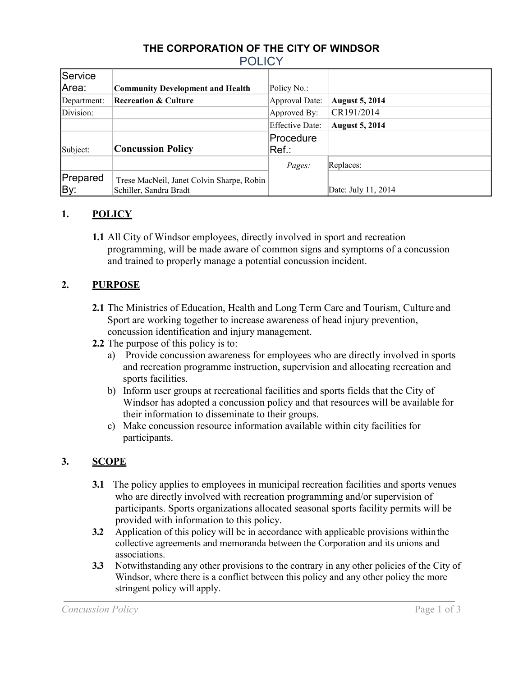## **THE CORPORATION OF THE CITY OF WINDSOR POLICY**

| Service     |                                           |                        |                       |
|-------------|-------------------------------------------|------------------------|-----------------------|
| Area:       | <b>Community Development and Health</b>   | Policy No.:            |                       |
| Department: | <b>Recreation &amp; Culture</b>           | Approval Date:         | <b>August 5, 2014</b> |
| Division:   |                                           | Approved By:           | CR191/2014            |
|             |                                           | <b>Effective Date:</b> | <b>August 5, 2014</b> |
|             |                                           | Procedure              |                       |
| Subject:    | <b>Concussion Policy</b>                  | Ref.:                  |                       |
|             |                                           | Pages:                 | Replaces:             |
| Prepared    | Trese MacNeil, Janet Colvin Sharpe, Robin |                        |                       |
| By:         | Schiller, Sandra Bradt                    |                        | Date: July 11, 2014   |

## **1. POLICY**

**1.1** All City of Windsor employees, directly involved in sport and recreation programming, will be made aware of common signs and symptoms of a concussion and trained to properly manage a potential concussion incident.

#### **2. PURPOSE**

- **2.1** The Ministries of Education, Health and Long Term Care and Tourism, Culture and Sport are working together to increase awareness of head injury prevention, concussion identification and injury management.
- **2.2** The purpose of this policy is to:
	- a) Provide concussion awareness for employees who are directly involved in sports and recreation programme instruction, supervision and allocating recreation and sports facilities.
	- b) Inform user groups at recreational facilities and sports fields that the City of Windsor has adopted a concussion policy and that resources will be available for their information to disseminate to their groups.
	- c) Make concussion resource information available within city facilities for participants.

## **3. SCOPE**

- **3.1** The policy applies to employees in municipal recreation facilities and sports venues who are directly involved with recreation programming and/or supervision of participants. Sports organizations allocated seasonal sports facility permits will be provided with information to this policy.
- **3.2** Application of this policy will be in accordance with applicable provisions withinthe collective agreements and memoranda between the Corporation and its unions and associations.
- **3.3** Notwithstanding any other provisions to the contrary in any other policies of the City of Windsor, where there is a conflict between this policy and any other policy the more stringent policy will apply.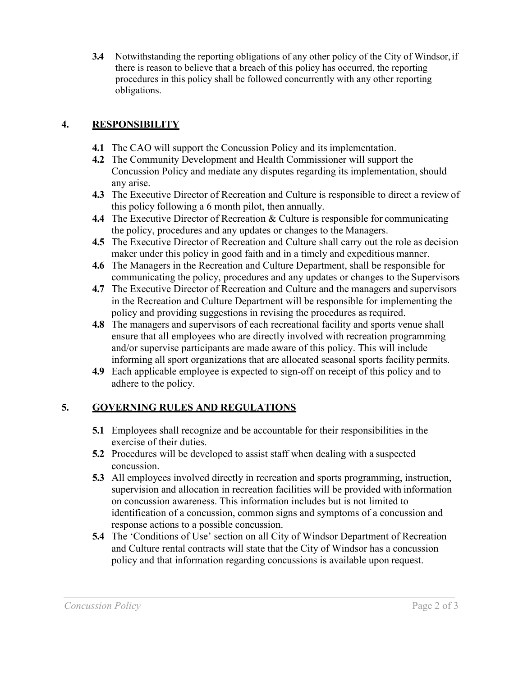**3.4** Notwithstanding the reporting obligations of any other policy of the City of Windsor,if there is reason to believe that a breach of this policy has occurred, the reporting procedures in this policy shall be followed concurrently with any other reporting obligations.

# **4. RESPONSIBILITY**

- **4.1** The CAO will support the Concussion Policy and its implementation.
- **4.2** The Community Development and Health Commissioner will support the Concussion Policy and mediate any disputes regarding its implementation, should any arise.
- **4.3** The Executive Director of Recreation and Culture is responsible to direct a review of this policy following a 6 month pilot, then annually.
- **4.4** The Executive Director of Recreation & Culture is responsible for communicating the policy, procedures and any updates or changes to the Managers.
- **4.5** The Executive Director of Recreation and Culture shall carry out the role as decision maker under this policy in good faith and in a timely and expeditious manner.
- **4.6** The Managers in the Recreation and Culture Department, shall be responsible for communicating the policy, procedures and any updates or changes to the Supervisors
- **4.7** The Executive Director of Recreation and Culture and the managers and supervisors in the Recreation and Culture Department will be responsible for implementing the policy and providing suggestions in revising the procedures as required.
- **4.8** The managers and supervisors of each recreational facility and sports venue shall ensure that all employees who are directly involved with recreation programming and/or supervise participants are made aware of this policy. This will include informing all sport organizations that are allocated seasonal sports facility permits.
- **4.9** Each applicable employee is expected to sign-off on receipt of this policy and to adhere to the policy.

## **5. GOVERNING RULES AND REGULATIONS**

- **5.1** Employees shall recognize and be accountable for their responsibilities in the exercise of their duties.
- **5.2** Procedures will be developed to assist staff when dealing with a suspected concussion.
- **5.3** All employees involved directly in recreation and sports programming, instruction, supervision and allocation in recreation facilities will be provided with information on concussion awareness. This information includes but is not limited to identification of a concussion, common signs and symptoms of a concussion and response actions to a possible concussion.
- **5.4** The 'Conditions of Use' section on all City of Windsor Department of Recreation and Culture rental contracts will state that the City of Windsor has a concussion policy and that information regarding concussions is available upon request.